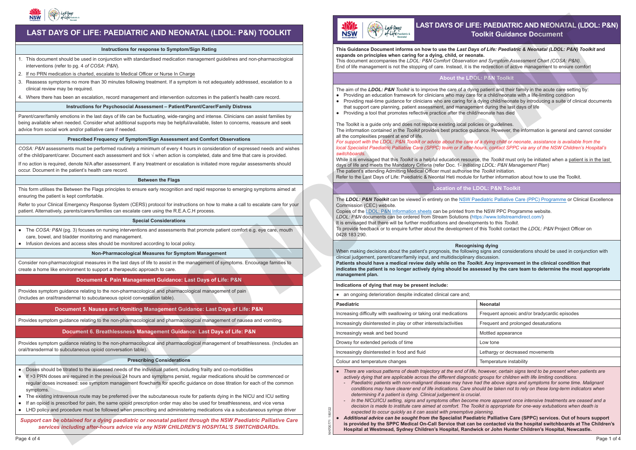# **For additional non pharmacological**

## **DOL: P&N Toolkit** About the LDOL: P&N Toolkit

**symptom management P.T.O**

**Morphine** is recommended as first-line

## ENTERAL **PRN MORPHINE dose:**

 $\bullet$  Providing an education framework for clinicians who may care for a child/neonate with a life-limiting condition The aim of the LDOL: P&N Toolkit is to improve the care of a dying patient and their family in the acute care setting by: • Providing real-time guidance for clinicians who are caring for a dying child/neonate by introducing a suite of clinical documents that support care planning, patient assessment, and management during the last days of life subcut opioid for the majority of patients in the last days of life **alternative subcut opioid is required** 1 mg oxycodone = 1.5 mg morphine ≤ 28 days old: 0.05 mg/kg every 4 hrs prn L: P&N TOOIKIt<br>g patient and their family in the a<br>for a child/neonate with a life-lin<br>dying child/neonate by introducent during the last days of life<br>/neonate has died<br>cies or guidelines.<br>dance. However, the information<br>f and their family in the acute call<br>
I/neonate with a life-limiting controlled/neonate by introducing a sum<br>
different that the last days of life<br>
has died<br>
delines.<br>
wever, the information is generated by the set of the se

- 
- 
- Providing a tool that promotes reflective practice after the child/neonate has died See PAIN and/or BREATHLESSNESS Management flowchart AND opioid chart on the reverse of PAIN Management flowchart

The Toolkit is a guide only and does not replace existing local policies or guidelines. **Indiried in the** *Toolkit* **provides best practice guidance. However, the imorniquon is general and** all the complexities present at end of life. **PRN MIDAZOLAM**  The Toolkit is a galactonly and does not replace existing local policies of galactifies.<br>The information contained in the *Toolkit* provides best practice guidance. However, the information is general and cannot consider dosing and regular dosing in a syringe driver **CLONazepam**

ontensed as:<br>While it is envisaged that this *Toolkit* is a helpful education resource, the *Toolkit* must only be initiated when a patient is in the last The patient's attending Admitting Medical Officer must authorise the *Toolkit* initiation. days of life and meets the Mandatory Criteria (refer Doc. 1- *Initiating LDOL: P&N Management Plan*) Refer to the Last Days of Life: Paediatric & Neontal Heti module for further information about how to use the Toolkit. **Metoclopramide** Maximum subcut stat volume = 10mg Caution with abdominal colic Do not use if bowel obstruction suspected

## **PRIMIDE LOCATION OF the LDOL: P&N Toolkit**

## Due to its long half-life, should be used when regular subcut benzodiazepine is

to compatibility issues. Can be given by

For support with the LDOL: P&N Toolkit or advice about the care of a dying child or neonate, assistance is available from the Second line for **BREATHLESSNESS**  (maximum 6 doses in 24 hrs) **OR** subcutaneous required, but not in a syringe driver due **OR** *local Specialist Paediatric Palliative Care (SPPC) team or if after-hours, contact SPPC via any of the NSW Children's Hospital's switchboards.*

**Metoclopramide** 

**GLYCOPYRING** 

Watch for oculogyric crisis or acute dystonia or extrapyramidal side effects

May cause dry mouth & thicken secretions.

## **Neonatal**

- In the NICU/ICU setting, signs and symptoms often become more apparent once intensive treatments are ceased and a

Watch for oculogyric crisis or acute dystonia or extrapyramidal side effects (repetitive and involuntary movements, abnormal restlessness and parkinsonism Inc. tremor, rigidity and bradykinesia)



(repetitive and involuntary movements, *oolkit* can be viewed in entirety on the <u>NSW Paediatric Palliative Care (PPC) Programme</u> or Clinical Excellence Inc. tremor, rigidity and bradykinesia) **METOCLOPROMIDE** Maximum 10 mg/dose Dose: 0.15 mg/kg every 6 hrs ogramme or Clinical E The LDOL: P&N Toolkit can be viewed in entirety on the NSW Paediatric Palliative Care (PPC) Programme or Clinical Excellence Commission (CEC) website.

### **Recognising dying**

#### Instructions for Psychosocial Assessment - Patient/Parent/Carer/Family Distress SUBCUT route

Parent/carer/family emotions in the last days of life can be fluctuating, wide-ranging and intense. Clinicians can assist families by ر<br>being available when needed. Consider what additional supports may be helpful/available, listen to concerns, reassure and seek advice from social work and/or palliative care if needed. dystonia or extrapyramidal side effects

## Prescribed Frequency of Symptom/Sign Assessment and Comfort Observations

COSA: P&N assessments must be performed routinely a minimum of every 4 hours in consideration of expressed needs and wishes **of the child/parent/carer. Document each assessment and tick √ when action is completed, date and time that care is provided.** 

lf no action is required, denote N/A after assessment. If any treatment or escalation is initiated more regular assessments should occur. Document in the patient's health care record. more regular asses

- ● *There are various patterns of death trajectory at the end of life, however, certain signs tend to be present when patients are*  actively dying that are applicable across the different diagnostic groups for children with life limiting conditions.
	- Paediatric patients with non-malignant disease may have had the above signs and symptoms for some time. Malignant *conditions may have clearer end of life indications. Care should be taken not to rely on these long-term indicators when determining if a patient is dying. Clinical judgement is crucial*.
- *decision is made to institute care aimed at comfort. The Toolkit is appropriate for one-way extubations when death is*
- *expected to occur quickly as it can assist with preemptive planning.*
- **is provided by the SPPC Medical On-Call Service that can be contacted via the hospital switchboards at The Children's**

*● Additional advice can be sought from the* **Specialist Paediatric Palliative Care (SPPC) services. Out of hours support Hospital at Westmead, Sydney Children's Hospital, Randwick or John Hunter Children's Hospital, Newcastle.**

NH700771 180122

80122

# LAST DAYS OF LIFE: PAEDIATRIC AND NEONATAL (LDOL: P&N) **Pagdiatric & <b>For in-patient setting: PAEDIATRIC AND NET**<br>Pagdalatric & **Pagdiatric & Pagdiatric and New Section Section Section Section Section Section Section Section Section Section Section Section Section Section Sect**

## **Between the Flags**

This form utilises the Between the Flags principles to ensure early recognition and rapid response to emerging symptoms aimed at ensuring the patient is kept comfortable.

Refer to your Clinical Emergency Response System (CERS) protocol for instructions on how to make a call to escalate care for your patient. Alternatively, parents/carers/families can escalate care using the R.E.A.C.H process.

## **Special Considerations**

- ● The *COSA: P&N* (pg. 3) focuses on nursing interventions and assessments that promote patient comfort e.g. eye care, mouth care, bowel, and bladder monitoring and management.
- ● Infusion devices and access sites should be monitored according to local policy.

## **Non-Pharmacological Measures for Symptom Management**

#### **LAST DAYS OF LIFE: PAEDIATRIC AND NEONATAL (LDOL: P&N) TOOLKIT MEDICATION INDICATION** F LIFE: PAEDIATRIC AND NEONATAL (I **Notes For additional non pharmacological symptom management P.T.O**

#### **Instructions for response to Symptom/Sign Rating Property** Conservation of the Sumption Construction Rational Property Conservation Rational Property Rational Property Rational Property Rational Property Rational Property Rational Property Rational Property Rational Pro

Consider non-pharmacological measures in the last days of life to assist in the management of symptoms. Encourage families to create a home like environment to support a therapeutic approach to care.

## **Document 4. Pain Management Guidance: Last Days of Life: P&N**

Provides symptom guidance relating to the non-pharmacological and pharmacological management of pain (Includes an oral/transdermal to subcutaneous opioid conversation table).

## **Document 5. Nausea and Vomiting Management Guidance: Last Days of Life: P&N**

Provides symptom guidance relating to the non-pharmacological and pharmacological management of nausea and vomiting.

## **Document 6. Breathlessness Management Guidance: Last Days of Life: P&N**

Provides symptom guidance relating to the non-pharmacological and pharmacological management of breathlessness. (Includes an oral/transdermal to subcutaneous opioid conversation table).

## **Prescribing Considerations**

- ● Doses should be titrated to the assessed needs of the individual patient, including frailty and co-morbidities
- If >3 PRN doses are required in the previous 24 hours and symptoms persist, regular medications should be commenced or regular doses increased: see symptom management flowcharts for specific guidance on dose titration for each of the common symptoms.
- ● The existing intravenous route may be preferred over the subcutaneous route for patients dying in the NICU and ICU setting
- If an opioid is prescribed for pain, the same opioid prescription order may also be used for breathlessness, and vice versa
- ● LHD policy and procedure must be followed when prescribing and administering medications via a subcutaneous syringe driver

| RIC AND NEONATAL (LDOL: P&N) TOOLKIT                                                                                                                                                                                                         | Last Days<br>flife Paediatric &<br><b>NSW</b>                                                                                                                                                                                                                                                                                                                                                                                                                                                                                                                                                                                                                                                                                                                                                                                                                                                                                                                                                                                                                                                                                                                                                                                                                                                                                                                                                                                                                                                                                                                                                                                                                                                                                                                                                                                                                                                                                                                              | LAST DAYS OF LIFE: PAEDIATRIC AND NEONATAL (LDOL: P&<br><b>Toolkit Guidance Document</b> |
|----------------------------------------------------------------------------------------------------------------------------------------------------------------------------------------------------------------------------------------------|----------------------------------------------------------------------------------------------------------------------------------------------------------------------------------------------------------------------------------------------------------------------------------------------------------------------------------------------------------------------------------------------------------------------------------------------------------------------------------------------------------------------------------------------------------------------------------------------------------------------------------------------------------------------------------------------------------------------------------------------------------------------------------------------------------------------------------------------------------------------------------------------------------------------------------------------------------------------------------------------------------------------------------------------------------------------------------------------------------------------------------------------------------------------------------------------------------------------------------------------------------------------------------------------------------------------------------------------------------------------------------------------------------------------------------------------------------------------------------------------------------------------------------------------------------------------------------------------------------------------------------------------------------------------------------------------------------------------------------------------------------------------------------------------------------------------------------------------------------------------------------------------------------------------------------------------------------------------------|------------------------------------------------------------------------------------------|
| r response to Symptom/Sign Rating                                                                                                                                                                                                            | This Guidance Document informs on how to use the Last Days of Life: Paediatric & Neonatal (LDOL: P&N) Toolkit and<br>expands on principles when caring for a dying, child, or neonate.<br>This document accompanies the LDOL: P&N Comfort Observation and Symptom Assessment Chart (COSA: P&N).<br>End of life management is not the stopping of care. Instead, it is the redirection of active management to ensure comfort<br><b>About the LDOL: P&amp;N Toolkit</b><br>The aim of the LDOL: P&N Toolkit is to improve the care of a dying patient and their family in the acute care setting by:<br>• Providing an education framework for clinicians who may care for a child/neonate with a life-limiting condition<br>• Providing real-time guidance for clinicians who are caring for a dying child/neonate by introducing a suite of clinical document<br>that support care planning, patient assessment, and management during the last days of life<br>• Providing a tool that promotes reflective practice after the child/neonate has died<br>The Toolkit is a guide only and does not replace existing local policies or guidelines.<br>The information contained in the Toolkit provides best practice guidance. However, the information is general and cannot conside<br>all the complexities present at end of life.<br>For support with the LDOL: P&N Toolkit or advice about the care of a dying child or neonate, assistance is available from the<br>local Specialist Paediatric Palliative Care (SPPC) team or if after-hours, contact SPPC via any of the NSW Children's Hospital's<br>switchboards.<br>While it is envisaged that this Toolkit is a helpful education resource, the Toolkit must only be initiated when a patient is in the last<br>days of life and meets the Mandatory Criteria (refer Doc. 1- Initiating LDOL: P&N Management Plan)<br>The patient's attending Admitting Medical Officer must authorise the Toolkit initiation. |                                                                                          |
| standardised medication management guidelines and non-pharmacological                                                                                                                                                                        |                                                                                                                                                                                                                                                                                                                                                                                                                                                                                                                                                                                                                                                                                                                                                                                                                                                                                                                                                                                                                                                                                                                                                                                                                                                                                                                                                                                                                                                                                                                                                                                                                                                                                                                                                                                                                                                                                                                                                                            |                                                                                          |
| al Officer or Nurse In Charge<br>wing treatment. If a symptom is not adequately addressed, escalation to a                                                                                                                                   |                                                                                                                                                                                                                                                                                                                                                                                                                                                                                                                                                                                                                                                                                                                                                                                                                                                                                                                                                                                                                                                                                                                                                                                                                                                                                                                                                                                                                                                                                                                                                                                                                                                                                                                                                                                                                                                                                                                                                                            |                                                                                          |
| jement and intervention outcomes in the patient's health care record.                                                                                                                                                                        |                                                                                                                                                                                                                                                                                                                                                                                                                                                                                                                                                                                                                                                                                                                                                                                                                                                                                                                                                                                                                                                                                                                                                                                                                                                                                                                                                                                                                                                                                                                                                                                                                                                                                                                                                                                                                                                                                                                                                                            |                                                                                          |
| <b>Assessment - Patient/Parent/Carer/Family Distress</b>                                                                                                                                                                                     |                                                                                                                                                                                                                                                                                                                                                                                                                                                                                                                                                                                                                                                                                                                                                                                                                                                                                                                                                                                                                                                                                                                                                                                                                                                                                                                                                                                                                                                                                                                                                                                                                                                                                                                                                                                                                                                                                                                                                                            |                                                                                          |
| be fluctuating, wide-ranging and intense. Clinicians can assist families by<br>I supports may be helpful/available, listen to concerns, reassure and seek                                                                                    |                                                                                                                                                                                                                                                                                                                                                                                                                                                                                                                                                                                                                                                                                                                                                                                                                                                                                                                                                                                                                                                                                                                                                                                                                                                                                                                                                                                                                                                                                                                                                                                                                                                                                                                                                                                                                                                                                                                                                                            |                                                                                          |
| ptom/Sign Assessment and Comfort Observations                                                                                                                                                                                                |                                                                                                                                                                                                                                                                                                                                                                                                                                                                                                                                                                                                                                                                                                                                                                                                                                                                                                                                                                                                                                                                                                                                                                                                                                                                                                                                                                                                                                                                                                                                                                                                                                                                                                                                                                                                                                                                                                                                                                            |                                                                                          |
| a minimum of every 4 hours in consideration of expressed needs and wishes<br>and tick $\sqrt{}$ when action is completed, date and time that care is provided.<br>f any treatment or escalation is initiated more regular assessments should |                                                                                                                                                                                                                                                                                                                                                                                                                                                                                                                                                                                                                                                                                                                                                                                                                                                                                                                                                                                                                                                                                                                                                                                                                                                                                                                                                                                                                                                                                                                                                                                                                                                                                                                                                                                                                                                                                                                                                                            |                                                                                          |
| <b>Between the Flags</b>                                                                                                                                                                                                                     | Refer to the Last Days of Life: Paediatric & Neontal Heti module for further information about how to use the Toolkit.                                                                                                                                                                                                                                                                                                                                                                                                                                                                                                                                                                                                                                                                                                                                                                                                                                                                                                                                                                                                                                                                                                                                                                                                                                                                                                                                                                                                                                                                                                                                                                                                                                                                                                                                                                                                                                                     |                                                                                          |
| nsure early recognition and rapid response to emerging symptoms aimed at                                                                                                                                                                     |                                                                                                                                                                                                                                                                                                                                                                                                                                                                                                                                                                                                                                                                                                                                                                                                                                                                                                                                                                                                                                                                                                                                                                                                                                                                                                                                                                                                                                                                                                                                                                                                                                                                                                                                                                                                                                                                                                                                                                            | <b>Location of the LDOL: P&amp;N Toolkit</b>                                             |
| ERS) protocol for instructions on how to make a call to escalate care for your<br>ate care using the R.E.A.C.H process.                                                                                                                      | The LDOL: P&N Toolkit can be viewed in entirety on the NSW Paediatric Palliative Care (PPC) Programme or Clinical Excellend<br>Commission (CEC) website.<br>Copies of the LDOL: P&N Information sheets can be printed from the NSW PPC Programme website.<br>LDOL: P&N documents can be ordered from Stream Solutions (https://www.tollstreamdirect.com/)<br>It is envisaged that there will be further modifications and developments to this Toolkit.<br>To provide feedback or to enquire further about the development of this Toolkit contact the LDOL: P&N Project Officer on<br>0428 183 290.<br><b>Recognising dying</b><br>When making decisions about the patient's prognosis, the following signs and considerations should be used in conjunction with<br>clinical judgement, parent/carer/family input, and multidisciplinary discussion.<br>Patients should have a medical review daily while on the Toolkit. Any improvement in the clinical condition that<br>indicates the patient is no longer actively dying should be assessed by the care team to determine the most appropriate<br>management plan.<br>Indications of dying that may be present include:<br>• an ongoing deterioration despite indicated clinical care and;                                                                                                                                                                                                                                                                                                                                                                                                                                                                                                                                                                                                                                                                                                                          |                                                                                          |
| <b>pecial Considerations</b>                                                                                                                                                                                                                 |                                                                                                                                                                                                                                                                                                                                                                                                                                                                                                                                                                                                                                                                                                                                                                                                                                                                                                                                                                                                                                                                                                                                                                                                                                                                                                                                                                                                                                                                                                                                                                                                                                                                                                                                                                                                                                                                                                                                                                            |                                                                                          |
| ntions and assessments that promote patient comfort e.g. eye care, mouth<br>ent.                                                                                                                                                             |                                                                                                                                                                                                                                                                                                                                                                                                                                                                                                                                                                                                                                                                                                                                                                                                                                                                                                                                                                                                                                                                                                                                                                                                                                                                                                                                                                                                                                                                                                                                                                                                                                                                                                                                                                                                                                                                                                                                                                            |                                                                                          |
| red according to local policy.                                                                                                                                                                                                               |                                                                                                                                                                                                                                                                                                                                                                                                                                                                                                                                                                                                                                                                                                                                                                                                                                                                                                                                                                                                                                                                                                                                                                                                                                                                                                                                                                                                                                                                                                                                                                                                                                                                                                                                                                                                                                                                                                                                                                            |                                                                                          |
| cal Measures for Symptom Management                                                                                                                                                                                                          |                                                                                                                                                                                                                                                                                                                                                                                                                                                                                                                                                                                                                                                                                                                                                                                                                                                                                                                                                                                                                                                                                                                                                                                                                                                                                                                                                                                                                                                                                                                                                                                                                                                                                                                                                                                                                                                                                                                                                                            |                                                                                          |
| ys of life to assist in the management of symptoms. Encourage families to<br>c approach to care.                                                                                                                                             |                                                                                                                                                                                                                                                                                                                                                                                                                                                                                                                                                                                                                                                                                                                                                                                                                                                                                                                                                                                                                                                                                                                                                                                                                                                                                                                                                                                                                                                                                                                                                                                                                                                                                                                                                                                                                                                                                                                                                                            |                                                                                          |
| agement Guidance: Last Days of Life: P&N                                                                                                                                                                                                     |                                                                                                                                                                                                                                                                                                                                                                                                                                                                                                                                                                                                                                                                                                                                                                                                                                                                                                                                                                                                                                                                                                                                                                                                                                                                                                                                                                                                                                                                                                                                                                                                                                                                                                                                                                                                                                                                                                                                                                            |                                                                                          |
| acological and pharmacological management of pain<br>onversation table).                                                                                                                                                                     |                                                                                                                                                                                                                                                                                                                                                                                                                                                                                                                                                                                                                                                                                                                                                                                                                                                                                                                                                                                                                                                                                                                                                                                                                                                                                                                                                                                                                                                                                                                                                                                                                                                                                                                                                                                                                                                                                                                                                                            |                                                                                          |
| ing Management Guidance: Last Days of Life: P&N                                                                                                                                                                                              | <b>Paediatric</b>                                                                                                                                                                                                                                                                                                                                                                                                                                                                                                                                                                                                                                                                                                                                                                                                                                                                                                                                                                                                                                                                                                                                                                                                                                                                                                                                                                                                                                                                                                                                                                                                                                                                                                                                                                                                                                                                                                                                                          | Neonatal                                                                                 |
| acological and pharmacological management of nausea and vomiting.                                                                                                                                                                            | Increasing difficulty with swallowing or taking oral medications                                                                                                                                                                                                                                                                                                                                                                                                                                                                                                                                                                                                                                                                                                                                                                                                                                                                                                                                                                                                                                                                                                                                                                                                                                                                                                                                                                                                                                                                                                                                                                                                                                                                                                                                                                                                                                                                                                           | Frequent apnoeic and/or bradycardic episodes                                             |
|                                                                                                                                                                                                                                              | Increasingly disinterested in play or other interests/activities                                                                                                                                                                                                                                                                                                                                                                                                                                                                                                                                                                                                                                                                                                                                                                                                                                                                                                                                                                                                                                                                                                                                                                                                                                                                                                                                                                                                                                                                                                                                                                                                                                                                                                                                                                                                                                                                                                           | Frequent and prolonged desaturations                                                     |
| <b>Management Guidance: Last Days of Life: P&amp;N</b>                                                                                                                                                                                       | Increasingly weak and bed bound                                                                                                                                                                                                                                                                                                                                                                                                                                                                                                                                                                                                                                                                                                                                                                                                                                                                                                                                                                                                                                                                                                                                                                                                                                                                                                                                                                                                                                                                                                                                                                                                                                                                                                                                                                                                                                                                                                                                            | Mottled appearance                                                                       |
| acological and pharmacological management of breathlessness. (Includes an                                                                                                                                                                    | Drowsy for extended periods of time                                                                                                                                                                                                                                                                                                                                                                                                                                                                                                                                                                                                                                                                                                                                                                                                                                                                                                                                                                                                                                                                                                                                                                                                                                                                                                                                                                                                                                                                                                                                                                                                                                                                                                                                                                                                                                                                                                                                        | Low tone                                                                                 |
| scribing Considerations                                                                                                                                                                                                                      | Increasingly disinterested in food and fluid                                                                                                                                                                                                                                                                                                                                                                                                                                                                                                                                                                                                                                                                                                                                                                                                                                                                                                                                                                                                                                                                                                                                                                                                                                                                                                                                                                                                                                                                                                                                                                                                                                                                                                                                                                                                                                                                                                                               | Lethargy or decreased movements                                                          |
|                                                                                                                                                                                                                                              | Colour and temperature changes                                                                                                                                                                                                                                                                                                                                                                                                                                                                                                                                                                                                                                                                                                                                                                                                                                                                                                                                                                                                                                                                                                                                                                                                                                                                                                                                                                                                                                                                                                                                                                                                                                                                                                                                                                                                                                                                                                                                             | Temperature instability                                                                  |

*Support can be obtained for a dying paediatric or neonatal patient through the NSW Paediatric Palliative Care services including after-hours advice via any NSW CHILDREN'S HOSPITAL'S SWITCHBOARDs.* 

First line for

 **If not taking regular opioid** (not on a regular opioid for previous 7 days)

≤ 28 days old: 0.1 – 0.2 mg/kg every 4 hrs prn

1 mg oxycodone = 1.5 mg morphine

- 3. Reassess symptoms no more than 30 minutes following treatment. If a symptom is not adequately addressed, escalation to a clinical review may be required. **Midazolam** s for response to symptom<br>th standardised medication r<br>dical Officer or Nurse In Chai<br>ollowing treatment. If a symp<br>nagement and intervention o
- 4. Where there has been an escalation, record management and intervention outcomes in the patient's health care record.

**ANXIETY and/or** 

- 1. This document should be used in conjunction with standardised medication management guidelines and non-pharmacological<br>. interventions (refer to pg. 4 *of COSA: P&N*). **PAIN** be used in conjunction with standardised medication management guidelines and non-ph with standardised medication management (maximum of 6 prn doses in 24 hrs)
- 2. If no PRN medication is charted, escalate to Medical Officer or Nurse In Charge

**METOCLOPROMIDE**

**NAUSEA** 

Maximum 10 mg/dose